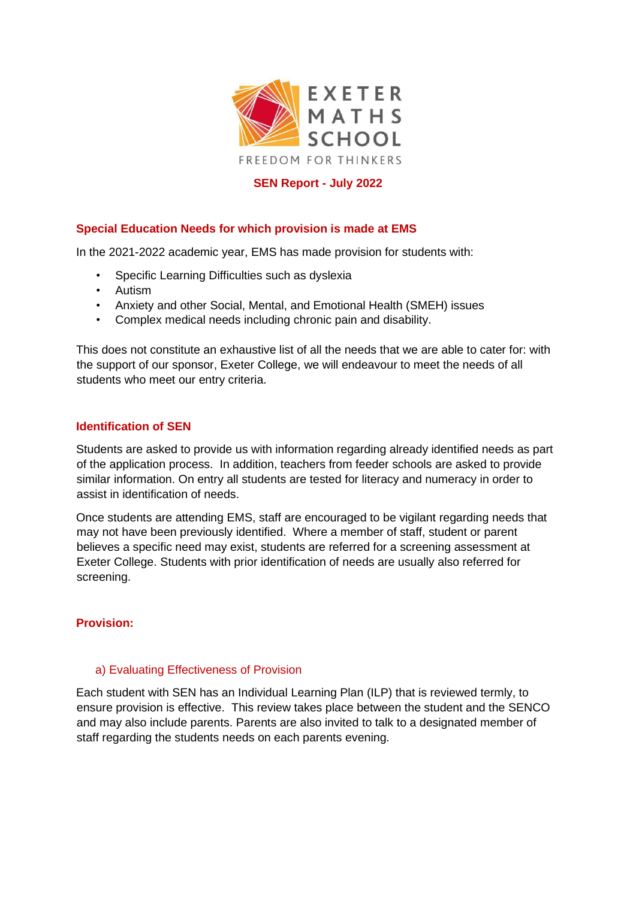

## **SEN Report - July 2022**

## **Special Education Needs for which provision is made at EMS**

In the 2021-2022 academic year, EMS has made provision for students with:

- Specific Learning Difficulties such as dyslexia
- Autism
- Anxiety and other Social, Mental, and Emotional Health (SMEH) issues
- Complex medical needs including chronic pain and disability.

This does not constitute an exhaustive list of all the needs that we are able to cater for: with the support of our sponsor, Exeter College, we will endeavour to meet the needs of all students who meet our entry criteria.

### **Identification of SEN**

Students are asked to provide us with information regarding already identified needs as part of the application process. In addition, teachers from feeder schools are asked to provide similar information. On entry all students are tested for literacy and numeracy in order to assist in identification of needs.

Once students are attending EMS, staff are encouraged to be vigilant regarding needs that may not have been previously identified. Where a member of staff, student or parent believes a specific need may exist, students are referred for a screening assessment at Exeter College. Students with prior identification of needs are usually also referred for screening.

## **Provision:**

## a) Evaluating Effectiveness of Provision

Each student with SEN has an Individual Learning Plan (ILP) that is reviewed termly, to ensure provision is effective. This review takes place between the student and the SENCO and may also include parents. Parents are also invited to talk to a designated member of staff regarding the students needs on each parents evening.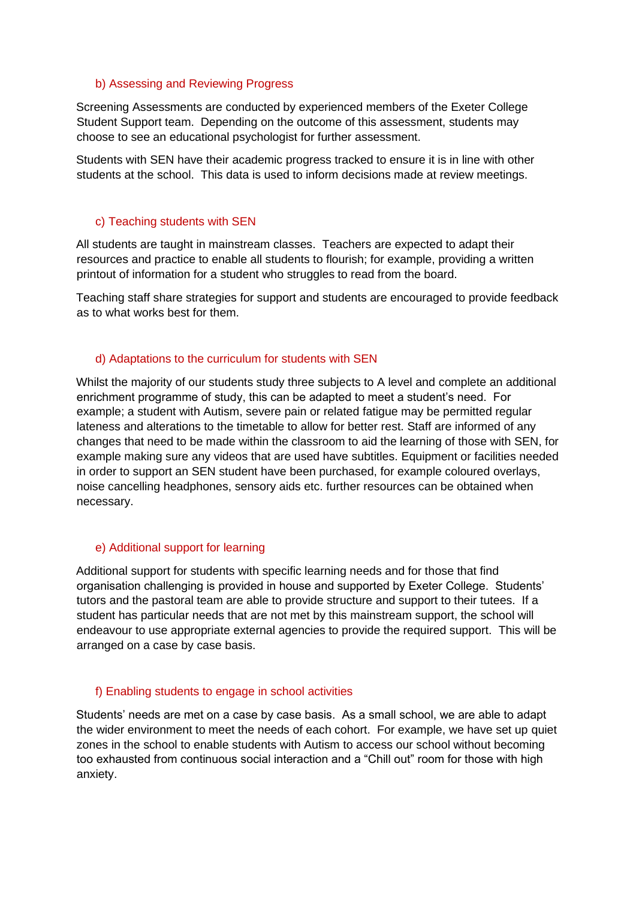### b) Assessing and Reviewing Progress

Screening Assessments are conducted by experienced members of the Exeter College Student Support team. Depending on the outcome of this assessment, students may choose to see an educational psychologist for further assessment.

Students with SEN have their academic progress tracked to ensure it is in line with other students at the school. This data is used to inform decisions made at review meetings.

### c) Teaching students with SEN

All students are taught in mainstream classes. Teachers are expected to adapt their resources and practice to enable all students to flourish; for example, providing a written printout of information for a student who struggles to read from the board.

Teaching staff share strategies for support and students are encouraged to provide feedback as to what works best for them.

## d) Adaptations to the curriculum for students with SEN

Whilst the majority of our students study three subjects to A level and complete an additional enrichment programme of study, this can be adapted to meet a student's need. For example; a student with Autism, severe pain or related fatigue may be permitted regular lateness and alterations to the timetable to allow for better rest. Staff are informed of any changes that need to be made within the classroom to aid the learning of those with SEN, for example making sure any videos that are used have subtitles. Equipment or facilities needed in order to support an SEN student have been purchased, for example coloured overlays, noise cancelling headphones, sensory aids etc. further resources can be obtained when necessary.

## e) Additional support for learning

Additional support for students with specific learning needs and for those that find organisation challenging is provided in house and supported by Exeter College. Students' tutors and the pastoral team are able to provide structure and support to their tutees. If a student has particular needs that are not met by this mainstream support, the school will endeavour to use appropriate external agencies to provide the required support. This will be arranged on a case by case basis.

## f) Enabling students to engage in school activities

Students' needs are met on a case by case basis. As a small school, we are able to adapt the wider environment to meet the needs of each cohort. For example, we have set up quiet zones in the school to enable students with Autism to access our school without becoming too exhausted from continuous social interaction and a "Chill out" room for those with high anxiety.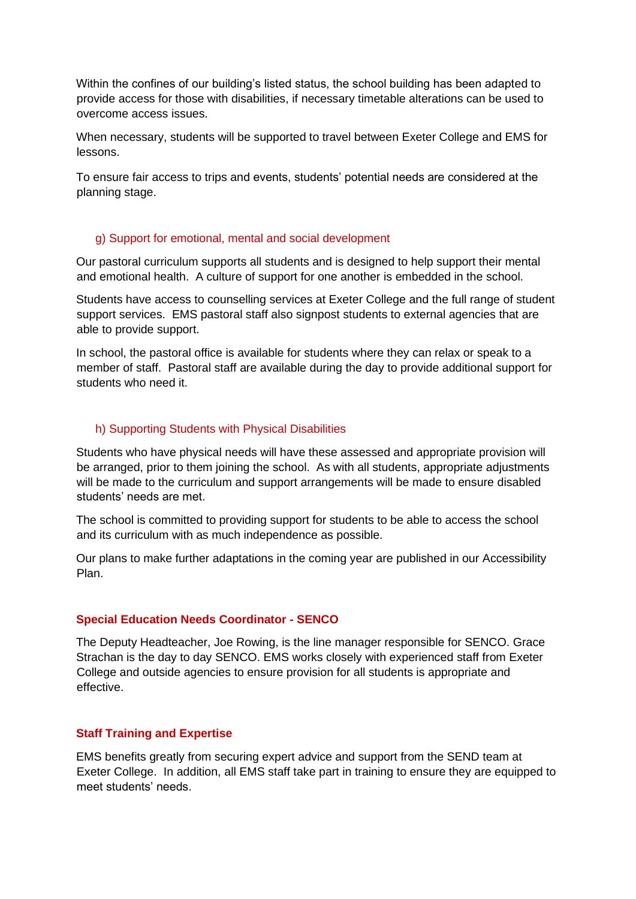Within the confines of our building's listed status, the school building has been adapted to provide access for those with disabilities, if necessary timetable alterations can be used to overcome access issues.

When necessary, students will be supported to travel between Exeter College and EMS for lessons.

To ensure fair access to trips and events, students' potential needs are considered at the planning stage.

### g) Support for emotional, mental and social development

Our pastoral curriculum supports all students and is designed to help support their mental and emotional health. A culture of support for one another is embedded in the school.

Students have access to counselling services at Exeter College and the full range of student support services. EMS pastoral staff also signpost students to external agencies that are able to provide support.

In school, the pastoral office is available for students where they can relax or speak to a member of staff. Pastoral staff are available during the day to provide additional support for students who need it.

## h) Supporting Students with Physical Disabilities

Students who have physical needs will have these assessed and appropriate provision will be arranged, prior to them joining the school. As with all students, appropriate adjustments will be made to the curriculum and support arrangements will be made to ensure disabled students' needs are met.

The school is committed to providing support for students to be able to access the school and its curriculum with as much independence as possible.

Our plans to make further adaptations in the coming year are published in our Accessibility Plan.

#### **Special Education Needs Coordinator - SENCO**

The Deputy Headteacher, Joe Rowing, is the line manager responsible for SENCO. Grace Strachan is the day to day SENCO. EMS works closely with experienced staff from Exeter College and outside agencies to ensure provision for all students is appropriate and effective.

## **Staff Training and Expertise**

EMS benefits greatly from securing expert advice and support from the SEND team at Exeter College. In addition, all EMS staff take part in training to ensure they are equipped to meet students' needs.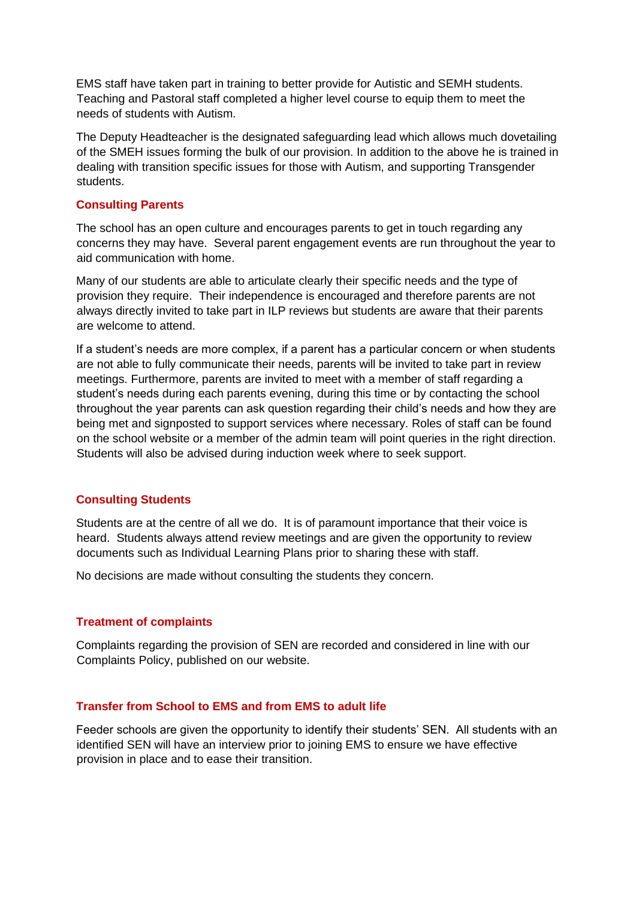EMS staff have taken part in training to better provide for Autistic and SEMH students. Teaching and Pastoral staff completed a higher level course to equip them to meet the needs of students with Autism.

The Deputy Headteacher is the designated safeguarding lead which allows much dovetailing of the SMEH issues forming the bulk of our provision. In addition to the above he is trained in dealing with transition specific issues for those with Autism, and supporting Transgender students.

## **Consulting Parents**

The school has an open culture and encourages parents to get in touch regarding any concerns they may have. Several parent engagement events are run throughout the year to aid communication with home.

Many of our students are able to articulate clearly their specific needs and the type of provision they require. Their independence is encouraged and therefore parents are not always directly invited to take part in ILP reviews but students are aware that their parents are welcome to attend.

If a student's needs are more complex, if a parent has a particular concern or when students are not able to fully communicate their needs, parents will be invited to take part in review meetings. Furthermore, parents are invited to meet with a member of staff regarding a student's needs during each parents evening, during this time or by contacting the school throughout the year parents can ask question regarding their child's needs and how they are being met and signposted to support services where necessary. Roles of staff can be found on the school website or a member of the admin team will point queries in the right direction. Students will also be advised during induction week where to seek support.

# **Consulting Students**

Students are at the centre of all we do. It is of paramount importance that their voice is heard. Students always attend review meetings and are given the opportunity to review documents such as Individual Learning Plans prior to sharing these with staff.

No decisions are made without consulting the students they concern.

## **Treatment of complaints**

Complaints regarding the provision of SEN are recorded and considered in line with our Complaints Policy, published on our website.

## **Transfer from School to EMS and from EMS to adult life**

Feeder schools are given the opportunity to identify their students' SEN. All students with an identified SEN will have an interview prior to joining EMS to ensure we have effective provision in place and to ease their transition.